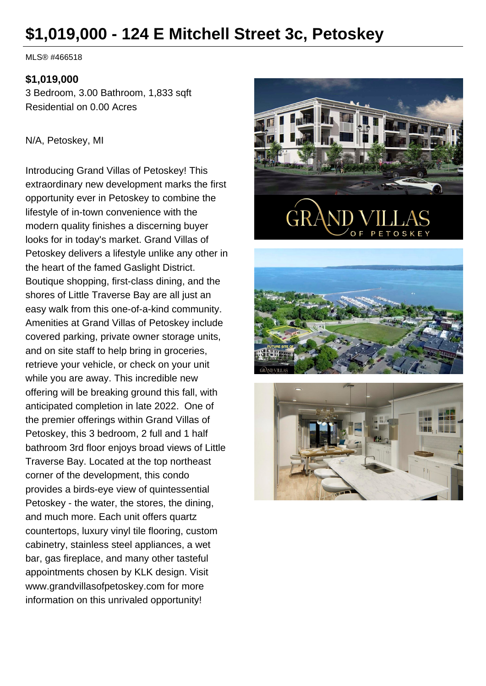# **\$1,019,000 - 124 E Mitchell Street 3c, Petoskey**

MLS® #466518

#### **\$1,019,000**

3 Bedroom, 3.00 Bathroom, 1,833 sqft Residential on 0.00 Acres

#### N/A, Petoskey, MI

Introducing Grand Villas of Petoskey! This extraordinary new development marks the first opportunity ever in Petoskey to combine the lifestyle of in-town convenience with the modern quality finishes a discerning buyer looks for in today's market. Grand Villas of Petoskey delivers a lifestyle unlike any other in the heart of the famed Gaslight District. Boutique shopping, first-class dining, and the shores of Little Traverse Bay are all just an easy walk from this one-of-a-kind community. Amenities at Grand Villas of Petoskey include covered parking, private owner storage units, and on site staff to help bring in groceries, retrieve your vehicle, or check on your unit while you are away. This incredible new offering will be breaking ground this fall, with anticipated completion in late 2022. One of the premier offerings within Grand Villas of Petoskey, this 3 bedroom, 2 full and 1 half bathroom 3rd floor enjoys broad views of Little Traverse Bay. Located at the top northeast corner of the development, this condo provides a birds-eye view of quintessential Petoskey - the water, the stores, the dining, and much more. Each unit offers quartz countertops, luxury vinyl tile flooring, custom cabinetry, stainless steel appliances, a wet bar, gas fireplace, and many other tasteful appointments chosen by KLK design. Visit www.grandvillasofpetoskey.com for more information on this unrivaled opportunity!





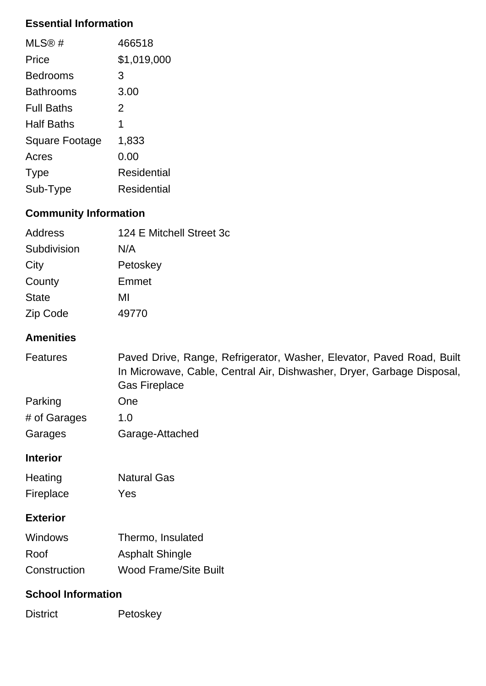## **Essential Information**

| MLS®#             | 466518      |
|-------------------|-------------|
| Price             | \$1,019,000 |
| <b>Bedrooms</b>   | 3           |
| <b>Bathrooms</b>  | 3.00        |
| <b>Full Baths</b> | 2           |
| <b>Half Baths</b> | 1           |
| Square Footage    | 1,833       |
| Acres             | 0.00        |
| <b>Type</b>       | Residential |
| Sub-Type          | Residential |

## **Community Information**

| Address      | 124 E Mitchell Street 3c |
|--------------|--------------------------|
| Subdivision  | N/A                      |
| City         | Petoskey                 |
| County       | Emmet                    |
| <b>State</b> | MI                       |
| Zip Code     | 49770                    |

### **Amenities**

| <b>Features</b> | Paved Drive, Range, Refrigerator, Washer, Elevator, Paved Road, Built<br>In Microwave, Cable, Central Air, Dishwasher, Dryer, Garbage Disposal,<br><b>Gas Fireplace</b> |
|-----------------|-------------------------------------------------------------------------------------------------------------------------------------------------------------------------|
| Parking         | One                                                                                                                                                                     |
| # of Garages    | 1.0                                                                                                                                                                     |
| Garages         | Garage-Attached                                                                                                                                                         |

#### **Interior**

| Heating   | <b>Natural Gas</b> |
|-----------|--------------------|
| Fireplace | Yes                |

#### **Exterior**

| <b>Windows</b> | Thermo, Insulated            |
|----------------|------------------------------|
| Roof           | <b>Asphalt Shingle</b>       |
| Construction   | <b>Wood Frame/Site Built</b> |

#### **School Information**

| <b>District</b> | Petoskey |
|-----------------|----------|
|-----------------|----------|